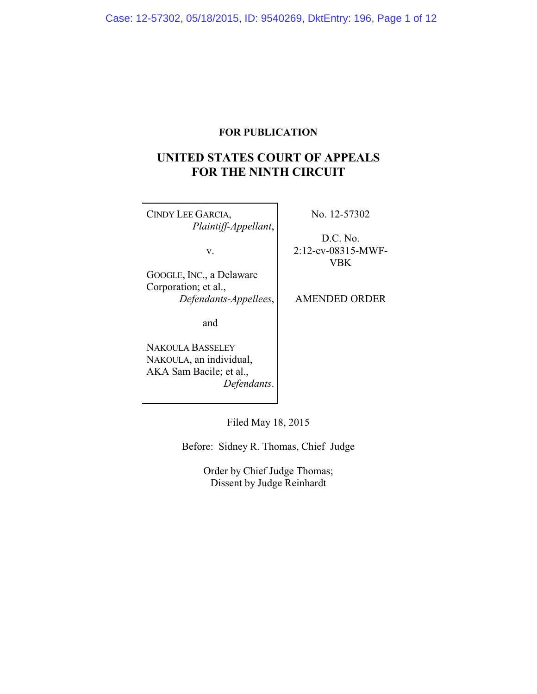# **FOR PUBLICATION**

# **UNITED STATES COURT OF APPEALS FOR THE NINTH CIRCUIT**

CINDY LEE GARCIA, *Plaintiff-Appellant*,

v.

No. 12-57302

D.C. No. 2:12-cv-08315-MWF-VBK

GOOGLE, INC., a Delaware Corporation; et al., *Defendants-Appellees*,

AMENDED ORDER

and

NAKOULA BASSELEY NAKOULA, an individual, AKA Sam Bacile; et al., *Defendants*.

Filed May 18, 2015

Before: Sidney R. Thomas, Chief Judge

Order by Chief Judge Thomas; Dissent by Judge Reinhardt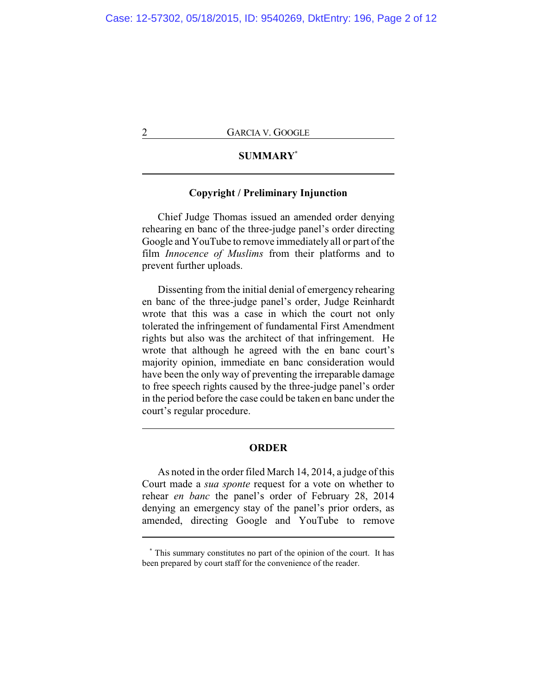# **SUMMARY\***

### **Copyright / Preliminary Injunction**

Chief Judge Thomas issued an amended order denying rehearing en banc of the three-judge panel's order directing Google and YouTube to remove immediately all or part of the film *Innocence of Muslims* from their platforms and to prevent further uploads.

Dissenting from the initial denial of emergency rehearing en banc of the three-judge panel's order, Judge Reinhardt wrote that this was a case in which the court not only tolerated the infringement of fundamental First Amendment rights but also was the architect of that infringement. He wrote that although he agreed with the en banc court's majority opinion, immediate en banc consideration would have been the only way of preventing the irreparable damage to free speech rights caused by the three-judge panel's order in the period before the case could be taken en banc under the court's regular procedure.

## **ORDER**

As noted in the order filed March 14, 2014, a judge of this Court made a *sua sponte* request for a vote on whether to rehear *en banc* the panel's order of February 28, 2014 denying an emergency stay of the panel's prior orders, as amended, directing Google and YouTube to remove

**<sup>\*</sup>** This summary constitutes no part of the opinion of the court. It has been prepared by court staff for the convenience of the reader.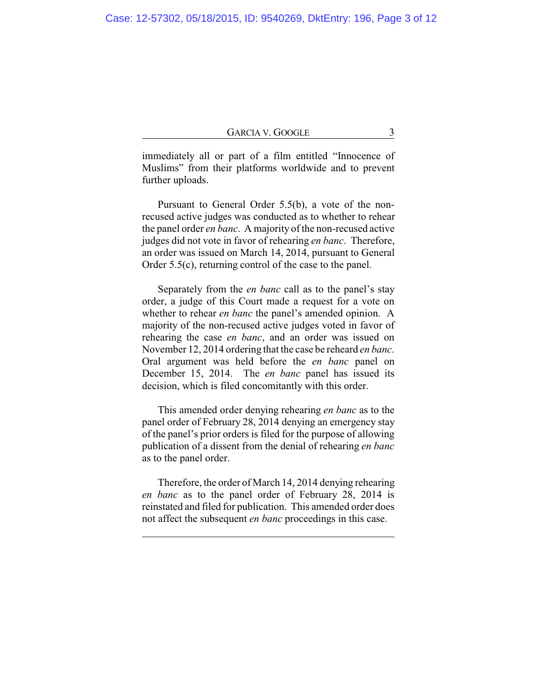immediately all or part of a film entitled "Innocence of Muslims" from their platforms worldwide and to prevent further uploads.

Pursuant to General Order 5.5(b), a vote of the nonrecused active judges was conducted as to whether to rehear the panel order *en banc*. A majority of the non-recused active judges did not vote in favor of rehearing *en banc*. Therefore, an order was issued on March 14, 2014, pursuant to General Order 5.5(c), returning control of the case to the panel.

Separately from the *en banc* call as to the panel's stay order, a judge of this Court made a request for a vote on whether to rehear *en banc* the panel's amended opinion. A majority of the non-recused active judges voted in favor of rehearing the case *en banc*, and an order was issued on November 12, 2014 ordering that the case be reheard *en banc*. Oral argument was held before the *en banc* panel on December 15, 2014. The *en banc* panel has issued its decision, which is filed concomitantly with this order.

This amended order denying rehearing *en banc* as to the panel order of February 28, 2014 denying an emergency stay of the panel's prior orders is filed for the purpose of allowing publication of a dissent from the denial of rehearing *en banc* as to the panel order.

Therefore, the order of March 14, 2014 denying rehearing *en banc* as to the panel order of February 28, 2014 is reinstated and filed for publication. This amended order does not affect the subsequent *en banc* proceedings in this case.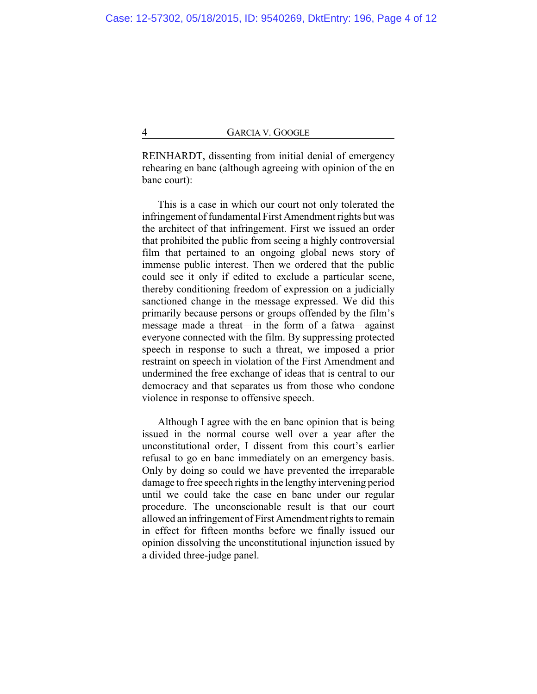REINHARDT, dissenting from initial denial of emergency rehearing en banc (although agreeing with opinion of the en banc court):

This is a case in which our court not only tolerated the infringement of fundamental First Amendment rights but was the architect of that infringement. First we issued an order that prohibited the public from seeing a highly controversial film that pertained to an ongoing global news story of immense public interest. Then we ordered that the public could see it only if edited to exclude a particular scene, thereby conditioning freedom of expression on a judicially sanctioned change in the message expressed. We did this primarily because persons or groups offended by the film's message made a threat—in the form of a fatwa—against everyone connected with the film. By suppressing protected speech in response to such a threat, we imposed a prior restraint on speech in violation of the First Amendment and undermined the free exchange of ideas that is central to our democracy and that separates us from those who condone violence in response to offensive speech.

Although I agree with the en banc opinion that is being issued in the normal course well over a year after the unconstitutional order, I dissent from this court's earlier refusal to go en banc immediately on an emergency basis. Only by doing so could we have prevented the irreparable damage to free speech rights in the lengthy intervening period until we could take the case en banc under our regular procedure. The unconscionable result is that our court allowed an infringement of First Amendment rights to remain in effect for fifteen months before we finally issued our opinion dissolving the unconstitutional injunction issued by a divided three-judge panel.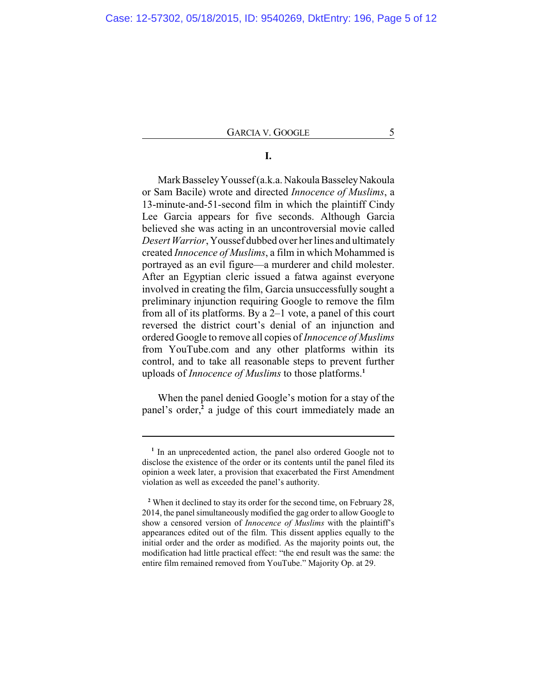# **I.**

Mark BasseleyYoussef (a.k.a. Nakoula BasseleyNakoula or Sam Bacile) wrote and directed *Innocence of Muslims*, a 13-minute-and-51-second film in which the plaintiff Cindy Lee Garcia appears for five seconds. Although Garcia believed she was acting in an uncontroversial movie called *Desert Warrior*, Youssef dubbed over her lines and ultimately created *Innocence of Muslims*, a film in which Mohammed is portrayed as an evil figure—a murderer and child molester. After an Egyptian cleric issued a fatwa against everyone involved in creating the film, Garcia unsuccessfully sought a preliminary injunction requiring Google to remove the film from all of its platforms. By a 2–1 vote, a panel of this court reversed the district court's denial of an injunction and ordered Google to remove all copies of *Innocence of Muslims* from YouTube.com and any other platforms within its control, and to take all reasonable steps to prevent further uploads of *Innocence of Muslims* to those platforms.**<sup>1</sup>**

When the panel denied Google's motion for a stay of the panel's order,**<sup>2</sup>** a judge of this court immediately made an

<sup>&</sup>lt;sup>1</sup> In an unprecedented action, the panel also ordered Google not to disclose the existence of the order or its contents until the panel filed its opinion a week later, a provision that exacerbated the First Amendment violation as well as exceeded the panel's authority.

**<sup>2</sup>** When it declined to stay its order for the second time, on February 28, 2014, the panel simultaneously modified the gag order to allow Google to show a censored version of *Innocence of Muslims* with the plaintiff's appearances edited out of the film. This dissent applies equally to the initial order and the order as modified. As the majority points out, the modification had little practical effect: "the end result was the same: the entire film remained removed from YouTube." Majority Op. at 29.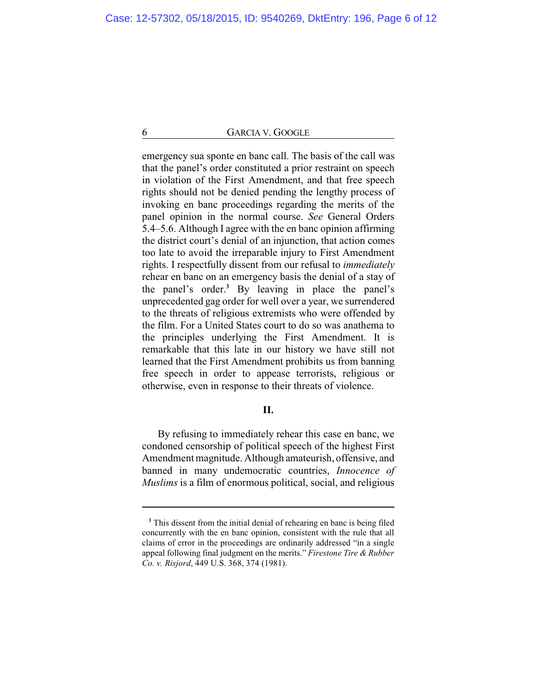emergency sua sponte en banc call. The basis of the call was that the panel's order constituted a prior restraint on speech in violation of the First Amendment, and that free speech rights should not be denied pending the lengthy process of invoking en banc proceedings regarding the merits of the panel opinion in the normal course. *See* General Orders 5.4–5.6. Although I agree with the en banc opinion affirming the district court's denial of an injunction, that action comes too late to avoid the irreparable injury to First Amendment rights. I respectfully dissent from our refusal to *immediately* rehear en banc on an emergency basis the denial of a stay of the panel's order.**<sup>3</sup>** By leaving in place the panel's unprecedented gag order for well over a year, we surrendered to the threats of religious extremists who were offended by the film. For a United States court to do so was anathema to the principles underlying the First Amendment. It is remarkable that this late in our history we have still not learned that the First Amendment prohibits us from banning free speech in order to appease terrorists, religious or otherwise, even in response to their threats of violence.

### **II.**

By refusing to immediately rehear this case en banc, we condoned censorship of political speech of the highest First Amendment magnitude. Although amateurish, offensive, and banned in many undemocratic countries, *Innocence of Muslims* is a film of enormous political, social, and religious

<sup>&</sup>lt;sup>3</sup> This dissent from the initial denial of rehearing en banc is being filed concurrently with the en banc opinion, consistent with the rule that all claims of error in the proceedings are ordinarily addressed "in a single appeal following final judgment on the merits." *Firestone Tire & Rubber Co. v. Risjord*, 449 U.S. 368, 374 (1981).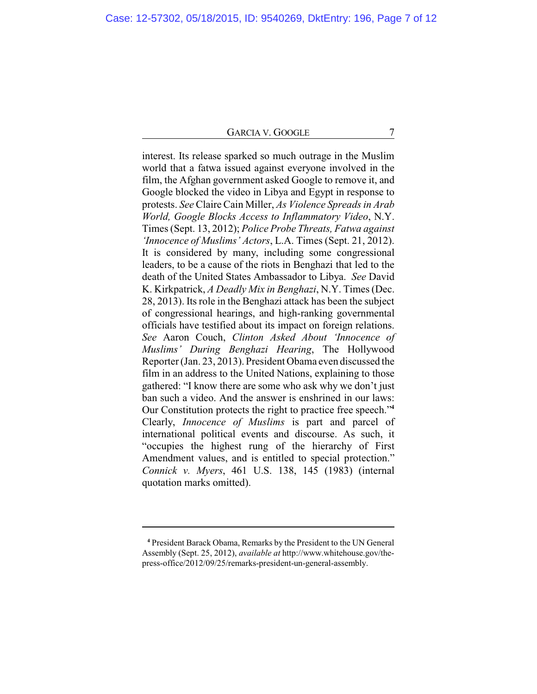interest. Its release sparked so much outrage in the Muslim world that a fatwa issued against everyone involved in the film, the Afghan government asked Google to remove it, and Google blocked the video in Libya and Egypt in response to protests. *See* Claire Cain Miller, *As Violence Spreads in Arab World, Google Blocks Access to Inflammatory Video*, N.Y. Times (Sept. 13, 2012); *Police Probe Threats, Fatwa against 'Innocence of Muslims' Actors*, L.A. Times (Sept. 21, 2012). It is considered by many, including some congressional leaders, to be a cause of the riots in Benghazi that led to the death of the United States Ambassador to Libya. *See* David K. Kirkpatrick, *A Deadly Mix in Benghazi*, N.Y. Times (Dec. 28, 2013). Its role in the Benghazi attack has been the subject of congressional hearings, and high-ranking governmental officials have testified about its impact on foreign relations. *See* Aaron Couch, *Clinton Asked About 'Innocence of Muslims' During Benghazi Hearing*, The Hollywood Reporter (Jan. 23, 2013). President Obama even discussed the film in an address to the United Nations, explaining to those gathered: "I know there are some who ask why we don't just ban such a video. And the answer is enshrined in our laws: Our Constitution protects the right to practice free speech."**<sup>4</sup>** Clearly, *Innocence of Muslims* is part and parcel of international political events and discourse. As such, it "occupies the highest rung of the hierarchy of First Amendment values, and is entitled to special protection." *Connick v. Myers*, 461 U.S. 138, 145 (1983) (internal quotation marks omitted).

**<sup>4</sup>** President Barack Obama, Remarks by the President to the UN General Assembly (Sept. 25, 2012), *available at* http://www.whitehouse.gov/thepress-office/2012/09/25/remarks-president-un-general-assembly.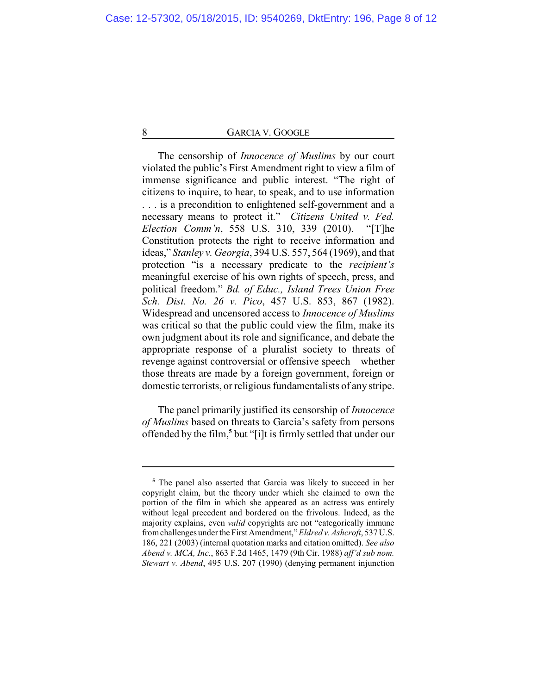The censorship of *Innocence of Muslims* by our court violated the public's First Amendment right to view a film of immense significance and public interest. "The right of citizens to inquire, to hear, to speak, and to use information . . . is a precondition to enlightened self-government and a necessary means to protect it." *Citizens United v. Fed. Election Comm'n*, 558 U.S. 310, 339 (2010). "[T]he Constitution protects the right to receive information and ideas," *Stanley v. Georgia*, 394 U.S. 557, 564 (1969), and that protection "is a necessary predicate to the *recipient's* meaningful exercise of his own rights of speech, press, and political freedom." *Bd. of Educ., Island Trees Union Free Sch. Dist. No. 26 v. Pico*, 457 U.S. 853, 867 (1982). Widespread and uncensored access to *Innocence of Muslims* was critical so that the public could view the film, make its own judgment about its role and significance, and debate the appropriate response of a pluralist society to threats of revenge against controversial or offensive speech—whether those threats are made by a foreign government, foreign or domestic terrorists, or religious fundamentalists of any stripe.

The panel primarily justified its censorship of *Innocence of Muslims* based on threats to Garcia's safety from persons offended by the film,**<sup>5</sup>** but "[i]t is firmly settled that under our

**<sup>5</sup>** The panel also asserted that Garcia was likely to succeed in her copyright claim, but the theory under which she claimed to own the portion of the film in which she appeared as an actress was entirely without legal precedent and bordered on the frivolous. Indeed, as the majority explains, even *valid* copyrights are not "categorically immune fromchallenges under the First Amendment," *Eldred v. Ashcroft*, 537 U.S. 186, 221 (2003) (internal quotation marks and citation omitted). *See also Abend v. MCA, Inc.*, 863 F.2d 1465, 1479 (9th Cir. 1988) *aff'd sub nom. Stewart v. Abend*, 495 U.S. 207 (1990) (denying permanent injunction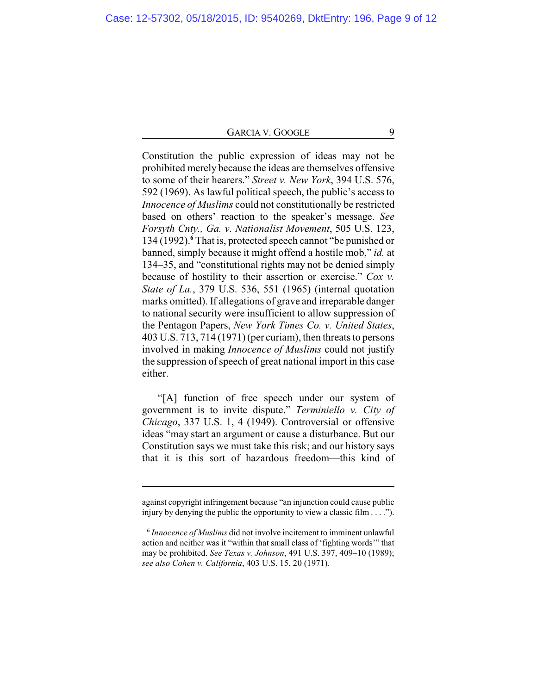Constitution the public expression of ideas may not be prohibited merely because the ideas are themselves offensive to some of their hearers." *Street v. New York*, 394 U.S. 576, 592 (1969). As lawful political speech, the public's access to *Innocence of Muslims* could not constitutionally be restricted based on others' reaction to the speaker's message. *See Forsyth Cnty., Ga. v. Nationalist Movement*, 505 U.S. 123, 134 (1992).**<sup>6</sup>** That is, protected speech cannot "be punished or banned, simply because it might offend a hostile mob," *id.* at 134–35, and "constitutional rights may not be denied simply because of hostility to their assertion or exercise." *Cox v. State of La.*, 379 U.S. 536, 551 (1965) (internal quotation marks omitted). If allegations of grave and irreparable danger to national security were insufficient to allow suppression of the Pentagon Papers, *New York Times Co. v. United States*, 403 U.S. 713, 714 (1971) (per curiam), then threats to persons involved in making *Innocence of Muslims* could not justify the suppression of speech of great national import in this case either.

"[A] function of free speech under our system of government is to invite dispute." *Terminiello v. City of Chicago*, 337 U.S. 1, 4 (1949). Controversial or offensive ideas "may start an argument or cause a disturbance. But our Constitution says we must take this risk; and our history says that it is this sort of hazardous freedom—this kind of

against copyright infringement because "an injunction could cause public injury by denying the public the opportunity to view a classic film . . . .").

**<sup>6</sup>** *Innocence of Muslims* did not involve incitement to imminent unlawful action and neither was it "within that small class of 'fighting words'" that may be prohibited. *See Texas v. Johnson*, 491 U.S. 397, 409–10 (1989); *see also Cohen v. California*, 403 U.S. 15, 20 (1971).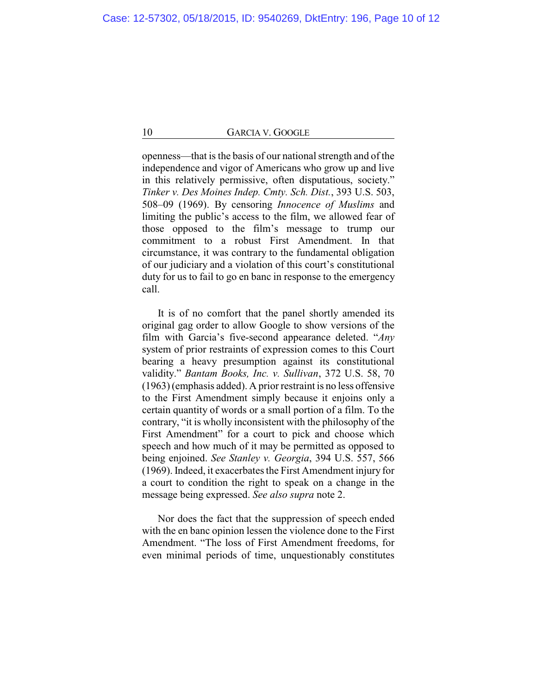openness—that is the basis of our national strength and of the independence and vigor of Americans who grow up and live in this relatively permissive, often disputatious, society." *Tinker v. Des Moines Indep. Cmty. Sch. Dist.*, 393 U.S. 503, 508–09 (1969). By censoring *Innocence of Muslims* and limiting the public's access to the film, we allowed fear of those opposed to the film's message to trump our commitment to a robust First Amendment. In that circumstance, it was contrary to the fundamental obligation of our judiciary and a violation of this court's constitutional duty for us to fail to go en banc in response to the emergency call.

It is of no comfort that the panel shortly amended its original gag order to allow Google to show versions of the film with Garcia's five-second appearance deleted. "*Any* system of prior restraints of expression comes to this Court bearing a heavy presumption against its constitutional validity." *Bantam Books, Inc. v. Sullivan*, 372 U.S. 58, 70 (1963) (emphasis added). A prior restraint is no less offensive to the First Amendment simply because it enjoins only a certain quantity of words or a small portion of a film. To the contrary, "it is wholly inconsistent with the philosophy of the First Amendment" for a court to pick and choose which speech and how much of it may be permitted as opposed to being enjoined. *See Stanley v. Georgia*, 394 U.S. 557, 566 (1969). Indeed, it exacerbates the First Amendment injury for a court to condition the right to speak on a change in the message being expressed. *See also supra* note 2.

Nor does the fact that the suppression of speech ended with the en banc opinion lessen the violence done to the First Amendment. "The loss of First Amendment freedoms, for even minimal periods of time, unquestionably constitutes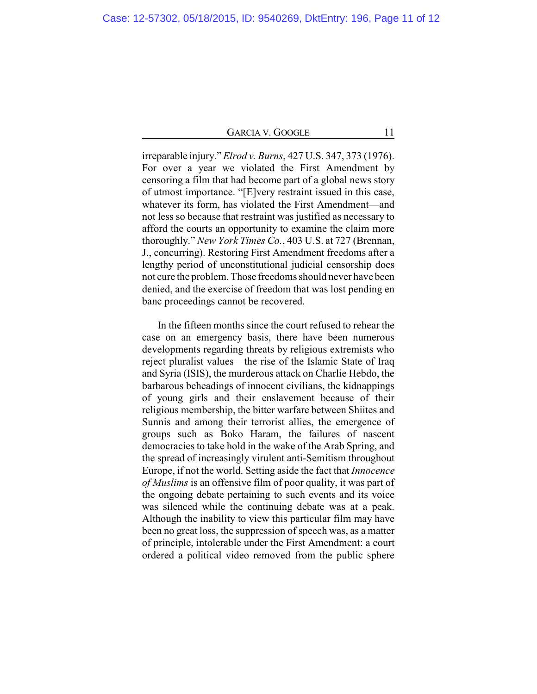irreparable injury." *Elrod v. Burns*, 427 U.S. 347, 373 (1976). For over a year we violated the First Amendment by censoring a film that had become part of a global news story of utmost importance. "[E]very restraint issued in this case, whatever its form, has violated the First Amendment—and not less so because that restraint was justified as necessary to afford the courts an opportunity to examine the claim more thoroughly." *New York Times Co.*, 403 U.S. at 727 (Brennan, J., concurring). Restoring First Amendment freedoms after a lengthy period of unconstitutional judicial censorship does not cure the problem. Those freedoms should never have been denied, and the exercise of freedom that was lost pending en banc proceedings cannot be recovered.

In the fifteen months since the court refused to rehear the case on an emergency basis, there have been numerous developments regarding threats by religious extremists who reject pluralist values—the rise of the Islamic State of Iraq and Syria (ISIS), the murderous attack on Charlie Hebdo, the barbarous beheadings of innocent civilians, the kidnappings of young girls and their enslavement because of their religious membership, the bitter warfare between Shiites and Sunnis and among their terrorist allies, the emergence of groups such as Boko Haram, the failures of nascent democracies to take hold in the wake of the Arab Spring, and the spread of increasingly virulent anti-Semitism throughout Europe, if not the world. Setting aside the fact that *Innocence of Muslims* is an offensive film of poor quality, it was part of the ongoing debate pertaining to such events and its voice was silenced while the continuing debate was at a peak. Although the inability to view this particular film may have been no great loss, the suppression of speech was, as a matter of principle, intolerable under the First Amendment: a court ordered a political video removed from the public sphere